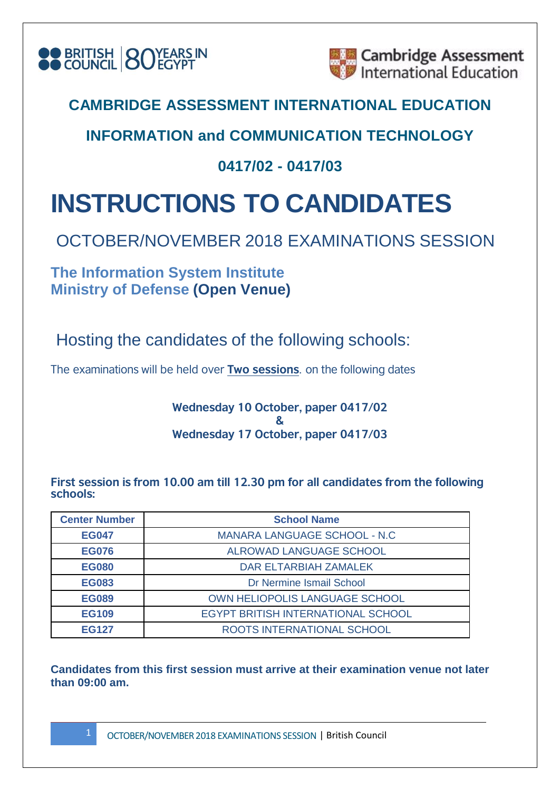



#### **INFORMATION and COMMUNICATION TECHNOLOGY**

#### **0417/02 - 0417/03**

# **INSTRUCTIONS TO CANDIDATES**

## OCTOBER/NOVEMBER 2018 EXAMINATIONS SESSION

#### **The Information System Institute Ministry of Defense (Open Venue)**

Hosting the candidates of the following schools:

The examinations will be held over **Two sessions**. on the following dates

**Wednesday 10 October, paper 0417/02 & Wednesday 17 October, paper 0417/03**

**First session is from 10.00 am till 12.30 pm for all candidates from the following schools:**

| <b>Center Number</b> | <b>School Name</b>                        |
|----------------------|-------------------------------------------|
| <b>EG047</b>         | MANARA LANGUAGE SCHOOL - N.C              |
| <b>EG076</b>         | <b>ALROWAD LANGUAGE SCHOOL</b>            |
| <b>EG080</b>         | <b>DAR ELTARBIAH ZAMALEK</b>              |
| <b>EG083</b>         | Dr Nermine Ismail School                  |
| <b>EG089</b>         | OWN HELIOPOLIS LANGUAGE SCHOOL            |
| <b>EG109</b>         | <b>EGYPT BRITISH INTERNATIONAL SCHOOL</b> |
| <b>EG127</b>         | ROOTS INTERNATIONAL SCHOOL                |

**Candidates from this first session must arrive at their examination venue not later than 09:00 am.**

1 OCTOBER/NOVEMBER2018 EXAMINATIONS SESSION | British Council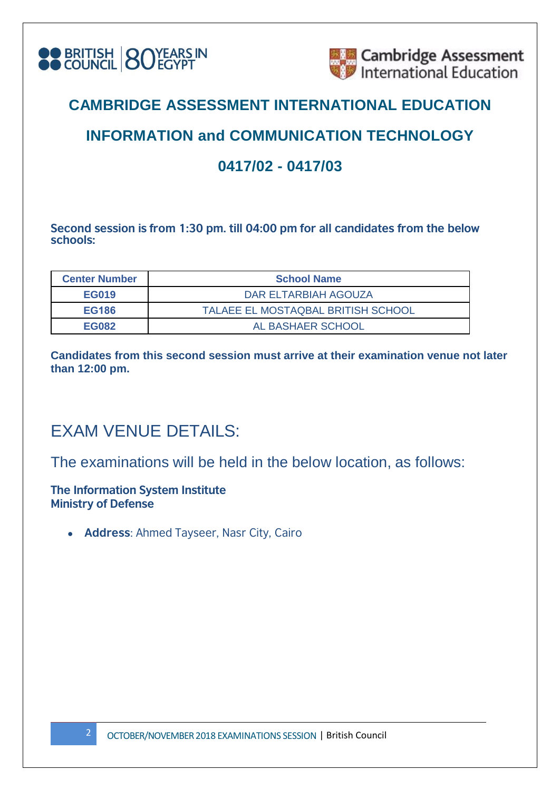



#### **INFORMATION and COMMUNICATION TECHNOLOGY**

#### **0417/02 - 0417/03**

#### **Second session is from 1:30 pm. till 04:00 pm for all candidates from the below schools:**

| <b>Center Number</b> | <b>School Name</b>                 |
|----------------------|------------------------------------|
| EG019                | DAR ELTARBIAH AGOUZA               |
| <b>EG186</b>         | TALAEE EL MOSTAQBAL BRITISH SCHOOL |
| <b>EG082</b>         | AL BASHAER SCHOOL                  |

**Candidates from this second session must arrive at their examination venue not later than 12:00 pm.**

## EXAM VENUE DETAILS:

The examinations will be held in the below location, as follows:

**The Information System Institute Ministry of Defense**

• **Address**: Ahmed Tayseer, Nasr City, Cairo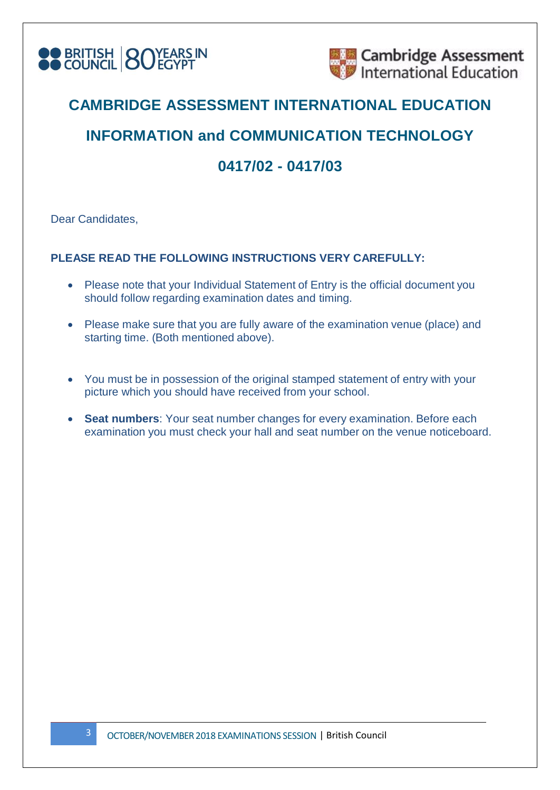



## **INFORMATION and COMMUNICATION TECHNOLOGY**

#### **0417/02 - 0417/03**

Dear Candidates,

#### **PLEASE READ THE FOLLOWING INSTRUCTIONS VERY CAREFULLY:**

- Please note that your Individual Statement of Entry is the official document you should follow regarding examination dates and timing.
- Please make sure that you are fully aware of the examination venue (place) and starting time. (Both mentioned above).
- You must be in possession of the original stamped statement of entry with your picture which you should have received from your school.
- **Seat numbers**: Your seat number changes for every examination. Before each examination you must check your hall and seat number on the venue noticeboard.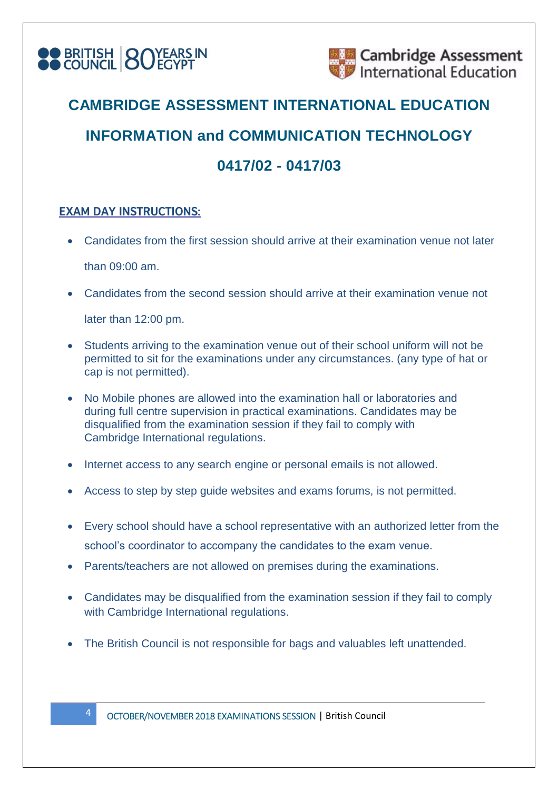



## **CAMBRIDGE ASSESSMENT INTERNATIONAL EDUCATION INFORMATION and COMMUNICATION TECHNOLOGY**

## **0417/02 - 0417/03**

#### **EXAM DAY INSTRUCTIONS:**

• Candidates from the first session should arrive at their examination venue not later

than 09:00 am.

• Candidates from the second session should arrive at their examination venue not

later than 12:00 pm.

- Students arriving to the examination venue out of their school uniform will not be permitted to sit for the examinations under any circumstances. (any type of hat or cap is not permitted).
- No Mobile phones are allowed into the examination hall or laboratories and during full centre supervision in practical examinations. Candidates may be disqualified from the examination session if they fail to comply with Cambridge International regulations.
- Internet access to any search engine or personal emails is not allowed.
- Access to step by step guide websites and exams forums, is not permitted.
- Every school should have a school representative with an authorized letter from the school's coordinator to accompany the candidates to the exam venue.
- Parents/teachers are not allowed on premises during the examinations.
- Candidates may be disqualified from the examination session if they fail to comply with Cambridge International regulations.
- The British Council is not responsible for bags and valuables left unattended.